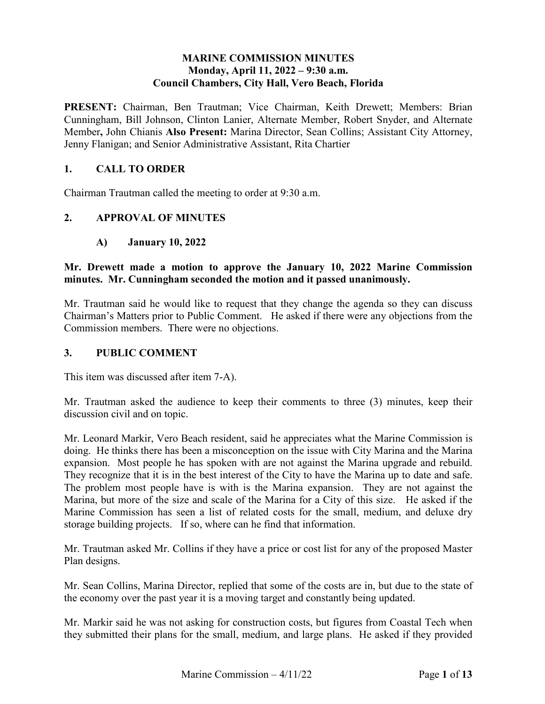#### **MARINE COMMISSION MINUTES Monday, April 11, 2022 – 9:30 a.m. Council Chambers, City Hall, Vero Beach, Florida**

 Cunningham, Bill Johnson, Clinton Lanier, Alternate Member, Robert Snyder, and Alternate **PRESENT:** Chairman, Ben Trautman; Vice Chairman, Keith Drewett; Members: Brian Member**,** John Chianis **Also Present:** Marina Director, Sean Collins; Assistant City Attorney, Jenny Flanigan; and Senior Administrative Assistant, Rita Chartier

## **1. CALL TO ORDER**

Chairman Trautman called the meeting to order at 9:30 a.m.

### **2. APPROVAL OF MINUTES**

**January 10, 2022** 

# **minutes. Mr. Cunningham seconded the motion and it passed unanimously. A) January 10, 2022 Mr. Drewett made a motion to approve the January 10, 2022 Marine Commission**

 Mr. Trautman said he would like to request that they change the agenda so they can discuss Chairman's Matters prior to Public Comment. He asked if there were any objections from the Commission members. There were no objections.

#### **3. PUBLIC COMMENT**

This item was discussed after item 7-A).

Mr. Trautman asked the audience to keep their comments to three (3) minutes, keep their discussion civil and on topic.

 Marina, but more of the size and scale of the Marina for a City of this size. He asked if the storage building projects. If so, where can he find that information. Mr. Leonard Markir, Vero Beach resident, said he appreciates what the Marine Commission is doing. He thinks there has been a misconception on the issue with City Marina and the Marina expansion. Most people he has spoken with are not against the Marina upgrade and rebuild. They recognize that it is in the best interest of the City to have the Marina up to date and safe. The problem most people have is with is the Marina expansion. They are not against the Marine Commission has seen a list of related costs for the small, medium, and deluxe dry

 Mr. Trautman asked Mr. Collins if they have a price or cost list for any of the proposed Master Plan designs.

Mr. Sean Collins, Marina Director, replied that some of the costs are in, but due to the state of the economy over the past year it is a moving target and constantly being updated.

 Mr. Markir said he was not asking for construction costs, but figures from Coastal Tech when they submitted their plans for the small, medium, and large plans. He asked if they provided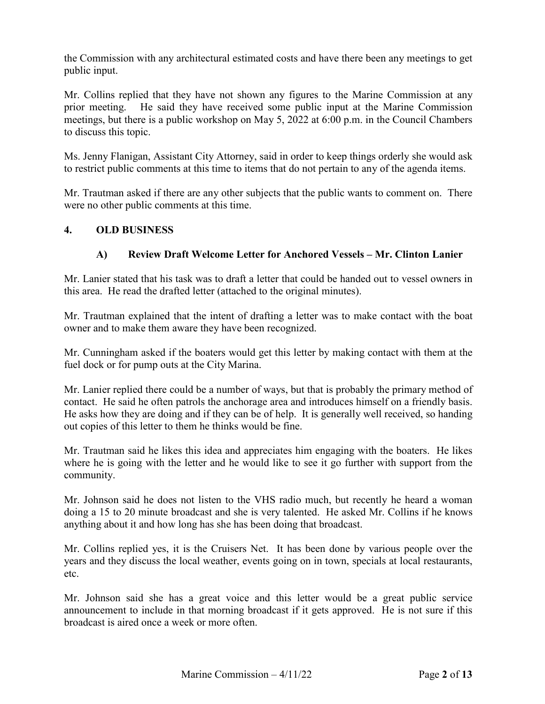the Commission with any architectural estimated costs and have there been any meetings to get public input.

 Mr. Collins replied that they have not shown any figures to the Marine Commission at any prior meeting. He said they have received some public input at the Marine Commission meetings, but there is a public workshop on May 5, 2022 at 6:00 p.m. in the Council Chambers to discuss this topic.

 Ms. Jenny Flanigan, Assistant City Attorney, said in order to keep things orderly she would ask to restrict public comments at this time to items that do not pertain to any of the agenda items.

 Mr. Trautman asked if there are any other subjects that the public wants to comment on. There were no other public comments at this time.

### **4. OLD BUSINESS**

# **A) Review Draft Welcome Letter for Anchored Vessels – Mr. Clinton Lanier**

 Mr. Lanier stated that his task was to draft a letter that could be handed out to vessel owners in this area. He read the drafted letter (attached to the original minutes).

Mr. Trautman explained that the intent of drafting a letter was to make contact with the boat owner and to make them aware they have been recognized.

 fuel dock or for pump outs at the City Marina. Mr. Cunningham asked if the boaters would get this letter by making contact with them at the

 He asks how they are doing and if they can be of help. It is generally well received, so handing Mr. Lanier replied there could be a number of ways, but that is probably the primary method of contact. He said he often patrols the anchorage area and introduces himself on a friendly basis. out copies of this letter to them he thinks would be fine.

Mr. Trautman said he likes this idea and appreciates him engaging with the boaters. He likes where he is going with the letter and he would like to see it go further with support from the community.

 doing a 15 to 20 minute broadcast and she is very talented. He asked Mr. Collins if he knows anything about it and how long has she has been doing that broadcast. Mr. Johnson said he does not listen to the VHS radio much, but recently he heard a woman

 Mr. Collins replied yes, it is the Cruisers Net. It has been done by various people over the years and they discuss the local weather, events going on in town, specials at local restaurants, etc.

Mr. Johnson said she has a great voice and this letter would be a great public service announcement to include in that morning broadcast if it gets approved. He is not sure if this broadcast is aired once a week or more often.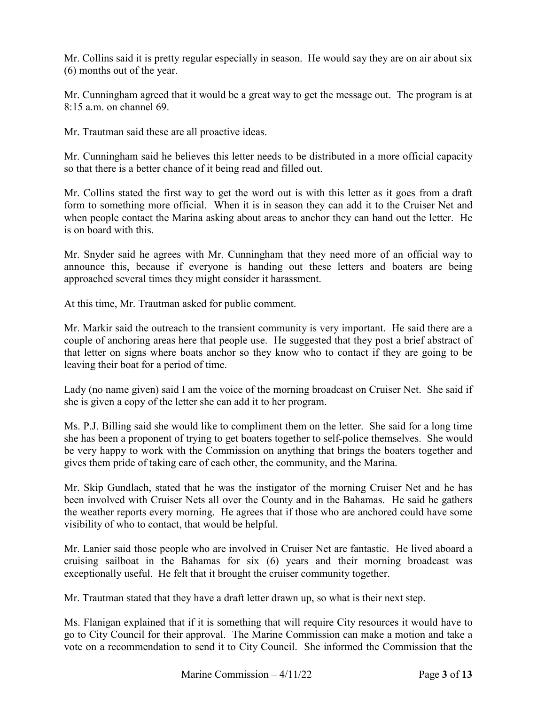(6) months out of the year. Mr. Collins said it is pretty regular especially in season. He would say they are on air about six

Mr. Cunningham agreed that it would be a great way to get the message out. The program is at 8:15 a.m. on channel 69.

Mr. Trautman said these are all proactive ideas.

 so that there is a better chance of it being read and filled out. Mr. Cunningham said he believes this letter needs to be distributed in a more official capacity

 Mr. Collins stated the first way to get the word out is with this letter as it goes from a draft is on board with this. form to something more official. When it is in season they can add it to the Cruiser Net and when people contact the Marina asking about areas to anchor they can hand out the letter. He

 Mr. Snyder said he agrees with Mr. Cunningham that they need more of an official way to announce this, because if everyone is handing out these letters and boaters are being approached several times they might consider it harassment.

At this time, Mr. Trautman asked for public comment.

 couple of anchoring areas here that people use. He suggested that they post a brief abstract of that letter on signs where boats anchor so they know who to contact if they are going to be Mr. Markir said the outreach to the transient community is very important. He said there are a leaving their boat for a period of time.

 Lady (no name given) said I am the voice of the morning broadcast on Cruiser Net. She said if she is given a copy of the letter she can add it to her program.

she is given a copy of the letter she can add it to her program.<br>Ms. P.J. Billing said she would like to compliment them on the letter. She said for a long time gives them pride of taking care of each other, the community, and the Marina. she has been a proponent of trying to get boaters together to self-police themselves. She would be very happy to work with the Commission on anything that brings the boaters together and

Mr. Skip Gundlach, stated that he was the instigator of the morning Cruiser Net and he has been involved with Cruiser Nets all over the County and in the Bahamas. He said he gathers the weather reports every morning. He agrees that if those who are anchored could have some visibility of who to contact, that would be helpful.

Mr. Lanier said those people who are involved in Cruiser Net are fantastic. He lived aboard a cruising sailboat in the Bahamas for six (6) years and their morning broadcast was exceptionally useful. He felt that it brought the cruiser community together.

Mr. Trautman stated that they have a draft letter drawn up, so what is their next step.

Ms. Flanigan explained that if it is something that will require City resources it would have to go to City Council for their approval. The Marine Commission can make a motion and take a vote on a recommendation to send it to City Council. She informed the Commission that the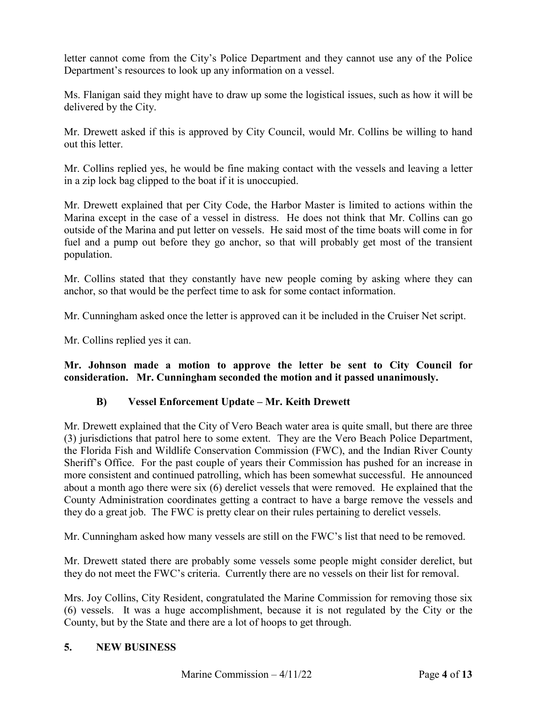letter cannot come from the City's Police Department and they cannot use any of the Police Department's resources to look up any information on a vessel.

Ms. Flanigan said they might have to draw up some the logistical issues, such as how it will be delivered by the City.

 Mr. Drewett asked if this is approved by City Council, would Mr. Collins be willing to hand out this letter.

out this letter.<br>Mr. Collins replied yes, he would be fine making contact with the vessels and leaving a letter in a zip lock bag clipped to the boat if it is unoccupied.

 Marina except in the case of a vessel in distress. He does not think that Mr. Collins can go outside of the Marina and put letter on vessels. He said most of the time boats will come in for Mr. Drewett explained that per City Code, the Harbor Master is limited to actions within the fuel and a pump out before they go anchor, so that will probably get most of the transient population.

Mr. Collins stated that they constantly have new people coming by asking where they can anchor, so that would be the perfect time to ask for some contact information.

Mr. Cunningham asked once the letter is approved can it be included in the Cruiser Net script.

Mr. Collins replied yes it can.

**Mr. Johnson made a motion to approve the letter be sent to City Council for consideration. Mr. Cunningham seconded the motion and it passed unanimously.** 

# **B) Vessel Enforcement Update – Mr. Keith Drewett**

 Mr. Drewett explained that the City of Vero Beach water area is quite small, but there are three (3) jurisdictions that patrol here to some extent. They are the Vero Beach Police Department, the Florida Fish and Wildlife Conservation Commission (FWC), and the Indian River County Sheriff's Office. For the past couple of years their Commission has pushed for an increase in more consistent and continued patrolling, which has been somewhat successful. He announced about a month ago there were six (6) derelict vessels that were removed. He explained that the County Administration coordinates getting a contract to have a barge remove the vessels and they do a great job. The FWC is pretty clear on their rules pertaining to derelict vessels.

Mr. Cunningham asked how many vessels are still on the FWC's list that need to be removed.

 Mr. Drewett stated there are probably some vessels some people might consider derelict, but they do not meet the FWC's criteria. Currently there are no vessels on their list for removal.

 Mrs. Joy Collins, City Resident, congratulated the Marine Commission for removing those six (6) vessels. It was a huge accomplishment, because it is not regulated by the City or the County, but by the State and there are a lot of hoops to get through.

### **5. NEW BUSINESS**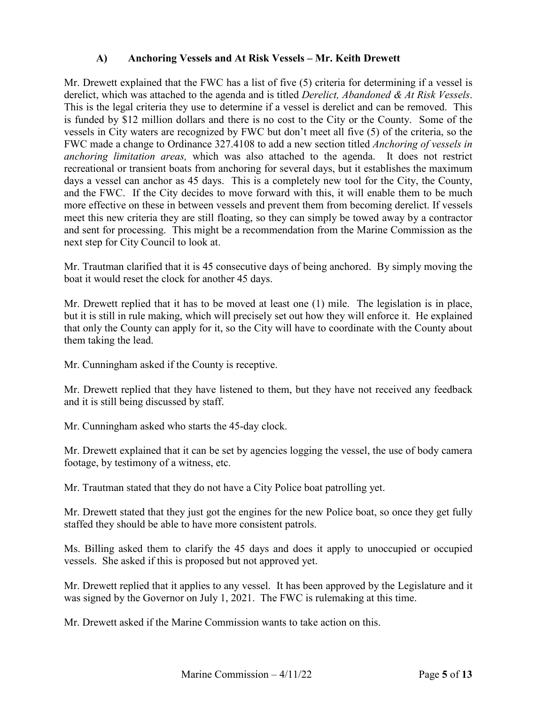# **A) Anchoring Vessels and At Risk Vessels – Mr. Keith Drewett**

 *anchoring limitation areas,* which was also attached to the agenda. It does not restrict meet this new criteria they are still floating, so they can simply be towed away by a contractor and sent for processing. This might be a recommendation from the Marine Commission as the Mr. Drewett explained that the FWC has a list of five (5) criteria for determining if a vessel is derelict, which was attached to the agenda and is titled *Derelict, Abandoned & At Risk Vessels*. This is the legal criteria they use to determine if a vessel is derelict and can be removed. This is funded by \$12 million dollars and there is no cost to the City or the County. Some of the vessels in City waters are recognized by FWC but don't meet all five (5) of the criteria, so the FWC made a change to Ordinance 327.4108 to add a new section titled *Anchoring of vessels in*  recreational or transient boats from anchoring for several days, but it establishes the maximum days a vessel can anchor as 45 days. This is a completely new tool for the City, the County, and the FWC. If the City decides to move forward with this, it will enable them to be much more effective on these in between vessels and prevent them from becoming derelict. If vessels next step for City Council to look at.

 Mr. Trautman clarified that it is 45 consecutive days of being anchored. By simply moving the boat it would reset the clock for another 45 days.

boat it would reset the clock for another 45 days.<br>Mr. Drewett replied that it has to be moved at least one (1) mile. The legislation is in place, but it is still in rule making, which will precisely set out how they will enforce it. He explained that only the County can apply for it, so the City will have to coordinate with the County about them taking the lead.

Mr. Cunningham asked if the County is receptive.

Mr. Drewett replied that they have listened to them, but they have not received any feedback and it is still being discussed by staff.

Mr. Cunningham asked who starts the 45-day clock.

 Mr. Drewett explained that it can be set by agencies logging the vessel, the use of body camera footage, by testimony of a witness, etc.

Mr. Trautman stated that they do not have a City Police boat patrolling yet.

 Mr. Drewett stated that they just got the engines for the new Police boat, so once they get fully staffed they should be able to have more consistent patrols.

 Ms. Billing asked them to clarify the 45 days and does it apply to unoccupied or occupied vessels. She asked if this is proposed but not approved yet.

 Mr. Drewett replied that it applies to any vessel. It has been approved by the Legislature and it was signed by the Governor on July 1, 2021. The FWC is rulemaking at this time.

Mr. Drewett asked if the Marine Commission wants to take action on this.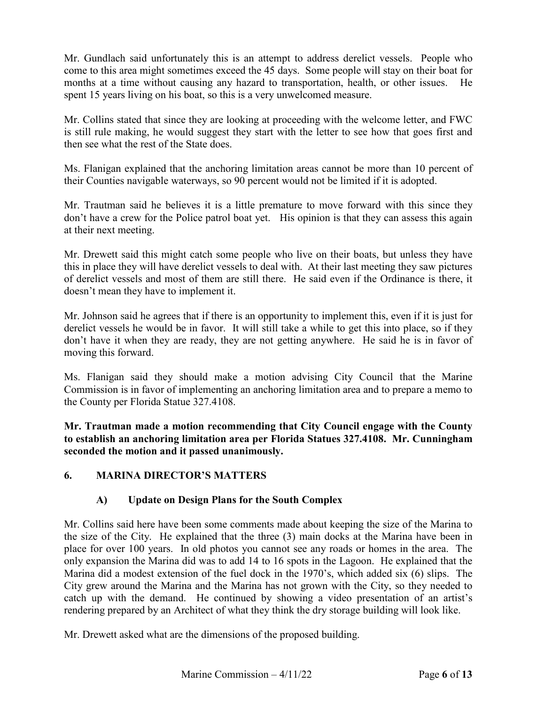Mr. Gundlach said unfortunately this is an attempt to address derelict vessels. People who spent 15 years living on his boat, so this is a very unwelcomed measure. come to this area might sometimes exceed the 45 days. Some people will stay on their boat for months at a time without causing any hazard to transportation, health, or other issues. He

 is still rule making, he would suggest they start with the letter to see how that goes first and then see what the rest of the State does. Mr. Collins stated that since they are looking at proceeding with the welcome letter, and FWC

Ms. Flanigan explained that the anchoring limitation areas cannot be more than 10 percent of their Counties navigable waterways, so 90 percent would not be limited if it is adopted.

 don't have a crew for the Police patrol boat yet. His opinion is that they can assess this again Mr. Trautman said he believes it is a little premature to move forward with this since they at their next meeting.

 Mr. Drewett said this might catch some people who live on their boats, but unless they have doesn't mean they have to implement it. this in place they will have derelict vessels to deal with. At their last meeting they saw pictures of derelict vessels and most of them are still there. He said even if the Ordinance is there, it

doesn't mean they have to implement it.<br>Mr. Johnson said he agrees that if there is an opportunity to implement this, even if it is just for derelict vessels he would be in favor. It will still take a while to get this into place, so if they don't have it when they are ready, they are not getting anywhere. He said he is in favor of moving this forward.

 the County per Florida Statue 327.4108. Ms. Flanigan said they should make a motion advising City Council that the Marine Commission is in favor of implementing an anchoring limitation area and to prepare a memo to

**Mr. Trautman made a motion recommending that City Council engage with the County to establish an anchoring limitation area per Florida Statues 327.4108. Mr. Cunningham seconded the motion and it passed unanimously.** 

### **6. MARINA DIRECTOR'S MATTERS**

### **A) Update on Design Plans for the South Complex**

 place for over 100 years. In old photos you cannot see any roads or homes in the area. The rendering prepared by an Architect of what they think the dry storage building will look like. Mr. Drewett asked what are the dimensions of the proposed building. Mr. Collins said here have been some comments made about keeping the size of the Marina to the size of the City. He explained that the three (3) main docks at the Marina have been in only expansion the Marina did was to add 14 to 16 spots in the Lagoon. He explained that the Marina did a modest extension of the fuel dock in the 1970's, which added six (6) slips. The City grew around the Marina and the Marina has not grown with the City, so they needed to catch up with the demand. He continued by showing a video presentation of an artist's

Mr. Drewett asked what are the dimensions of the proposed building.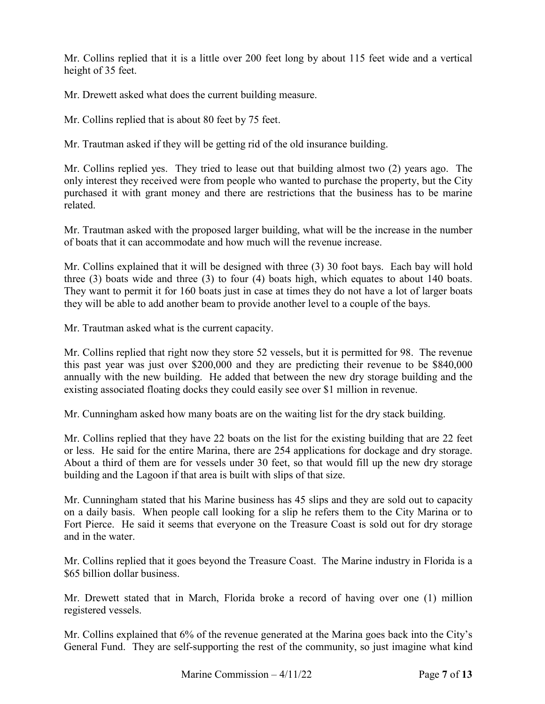Mr. Collins replied that it is a little over 200 feet long by about 115 feet wide and a vertical height of 35 feet.

Mr. Drewett asked what does the current building measure.

Mr. Collins replied that is about 80 feet by 75 feet.

Mr. Trautman asked if they will be getting rid of the old insurance building.

 only interest they received were from people who wanted to purchase the property, but the City Mr. Collins replied yes. They tried to lease out that building almost two (2) years ago. The purchased it with grant money and there are restrictions that the business has to be marine related.

Mr. Trautman asked with the proposed larger building, what will be the increase in the number of boats that it can accommodate and how much will the revenue increase.

three  $(3)$  boats wide and three  $(3)$  to four  $(4)$  boats high, which equates to about 140 boats. three (3) boats wide and three (3) to four (4) boats high, which equates to about 140 boats. They want to permit it for 160 boats just in case at times they do not have a lot of larger boats they will be able to add another beam to provide another level to a couple of the bays. Mr. Collins explained that it will be designed with three (3) 30 foot bays. Each bay will hold

Mr. Trautman asked what is the current capacity.

Mr. Trautman asked what is the current capacity.<br>Mr. Collins replied that right now they store 52 vessels, but it is permitted for 98. The revenue this past year was just over \$200,000 and they are predicting their revenue to be \$840,000 annually with the new building. He added that between the new dry storage building and the existing associated floating docks they could easily see over \$1 million in revenue.

Mr. Cunningham asked how many boats are on the waiting list for the dry stack building.

 building and the Lagoon if that area is built with slips of that size. Mr. Collins replied that they have 22 boats on the list for the existing building that are 22 feet or less. He said for the entire Marina, there are 254 applications for dockage and dry storage. About a third of them are for vessels under 30 feet, so that would fill up the new dry storage

 Fort Pierce. He said it seems that everyone on the Treasure Coast is sold out for dry storage and in the water. Mr. Cunningham stated that his Marine business has 45 slips and they are sold out to capacity on a daily basis. When people call looking for a slip he refers them to the City Marina or to

\$65 billion dollar business. Mr. Collins replied that it goes beyond the Treasure Coast. The Marine industry in Florida is a

\$65 billion dollar business.<br>Mr. Drewett stated that in March, Florida broke a record of having over one (1) million registered vessels.

Mr. Collins explained that 6% of the revenue generated at the Marina goes back into the City's General Fund. They are self-supporting the rest of the community, so just imagine what kind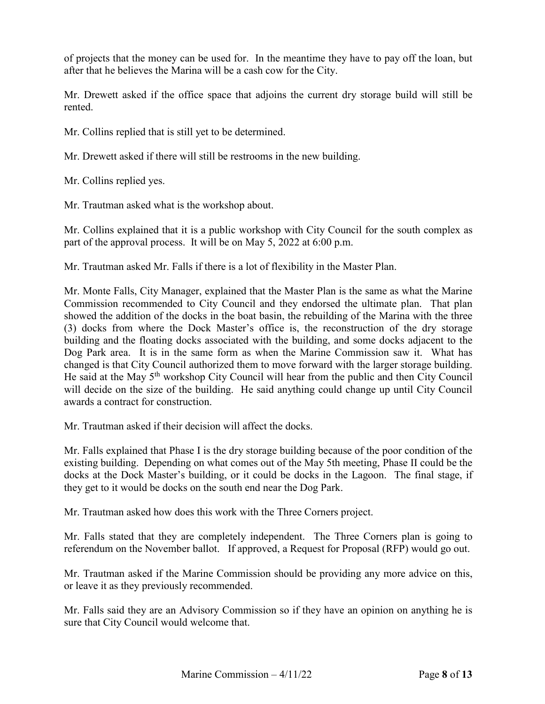of projects that the money can be used for. In the meantime they have to pay off the loan, but after that he believes the Marina will be a cash cow for the City.

Mr. Drewett asked if the office space that adjoins the current dry storage build will still be rented.

Mr. Collins replied that is still yet to be determined.

Mr. Drewett asked if there will still be restrooms in the new building.

Mr. Collins replied yes.

Mr. Trautman asked what is the workshop about.

 part of the approval process. It will be on May 5, 2022 at 6:00 p.m. Mr. Collins explained that it is a public workshop with City Council for the south complex as

Mr. Trautman asked Mr. Falls if there is a lot of flexibility in the Master Plan.

 Commission recommended to City Council and they endorsed the ultimate plan. That plan He said at the May 5<sup>th</sup> workshop City Council will hear from the public and then City Council will decide on the size of the building. He said anything could change up until City Council Mr. Monte Falls, City Manager, explained that the Master Plan is the same as what the Marine showed the addition of the docks in the boat basin, the rebuilding of the Marina with the three (3) docks from where the Dock Master's office is, the reconstruction of the dry storage building and the floating docks associated with the building, and some docks adjacent to the Dog Park area. It is in the same form as when the Marine Commission saw it. What has changed is that City Council authorized them to move forward with the larger storage building. awards a contract for construction.

Mr. Trautman asked if their decision will affect the docks.

Mr. Trautman asked if their decision will affect the docks.<br>Mr. Falls explained that Phase I is the dry storage building because of the poor condition of the existing building. Depending on what comes out of the May 5th meeting, Phase II could be the docks at the Dock Master's building, or it could be docks in the Lagoon. The final stage, if they get to it would be docks on the south end near the Dog Park.

Mr. Trautman asked how does this work with the Three Corners project.

 referendum on the November ballot. If approved, a Request for Proposal (RFP) would go out. Mr. Falls stated that they are completely independent. The Three Corners plan is going to

 Mr. Trautman asked if the Marine Commission should be providing any more advice on this, or leave it as they previously recommended.

Mr. Falls said they are an Advisory Commission so if they have an opinion on anything he is sure that City Council would welcome that.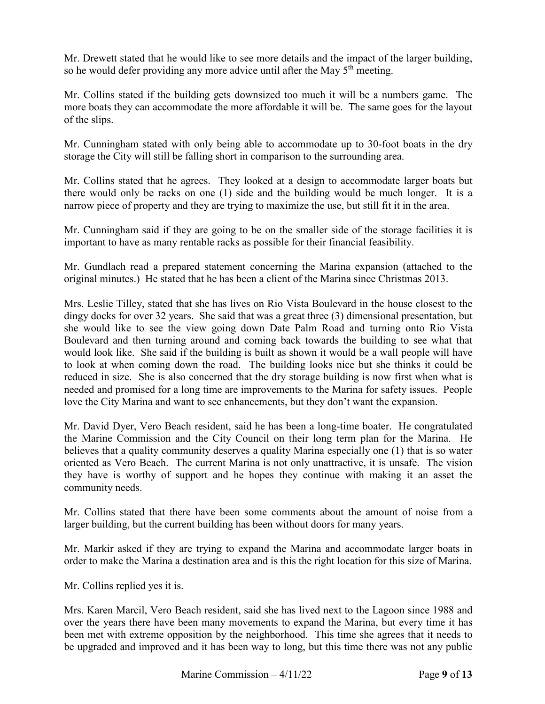so he would defer providing any more advice until after the May  $5<sup>th</sup>$  meeting. Mr. Drewett stated that he would like to see more details and the impact of the larger building,

 of the slips. Mr. Collins stated if the building gets downsized too much it will be a numbers game. The more boats they can accommodate the more affordable it will be. The same goes for the layout

 Mr. Cunningham stated with only being able to accommodate up to 30-foot boats in the dry storage the City will still be falling short in comparison to the surrounding area.

 Mr. Collins stated that he agrees. They looked at a design to accommodate larger boats but there would only be racks on one (1) side and the building would be much longer. It is a narrow piece of property and they are trying to maximize the use, but still fit it in the area.

 Mr. Cunningham said if they are going to be on the smaller side of the storage facilities it is important to have as many rentable racks as possible for their financial feasibility.

 original minutes.) He stated that he has been a client of the Marina since Christmas 2013. Mr. Gundlach read a prepared statement concerning the Marina expansion (attached to the

 dingy docks for over 32 years. She said that was a great three (3) dimensional presentation, but she would like to see the view going down Date Palm Road and turning onto Rio Vista would look like. She said if the building is built as shown it would be a wall people will have needed and promised for a long time are improvements to the Marina for safety issues. People Mrs. Leslie Tilley, stated that she has lives on Rio Vista Boulevard in the house closest to the Boulevard and then turning around and coming back towards the building to see what that to look at when coming down the road. The building looks nice but she thinks it could be reduced in size. She is also concerned that the dry storage building is now first when what is love the City Marina and want to see enhancements, but they don't want the expansion.

 the Marine Commission and the City Council on their long term plan for the Marina. He believes that a quality community deserves a quality Marina especially one (1) that is so water oriented as Vero Beach. The current Marina is not only unattractive, it is unsafe. The vision they have is worthy of support and he hopes they continue with making it an asset the Mr. David Dyer, Vero Beach resident, said he has been a long-time boater. He congratulated community needs.

 Mr. Collins stated that there have been some comments about the amount of noise from a larger building, but the current building has been without doors for many years.

Mr. Markir asked if they are trying to expand the Marina and accommodate larger boats in order to make the Marina a destination area and is this the right location for this size of Marina.

Mr. Collins replied yes it is.

 over the years there have been many movements to expand the Marina, but every time it has been met with extreme opposition by the neighborhood. This time she agrees that it needs to Mrs. Karen Marcil, Vero Beach resident, said she has lived next to the Lagoon since 1988 and be upgraded and improved and it has been way to long, but this time there was not any public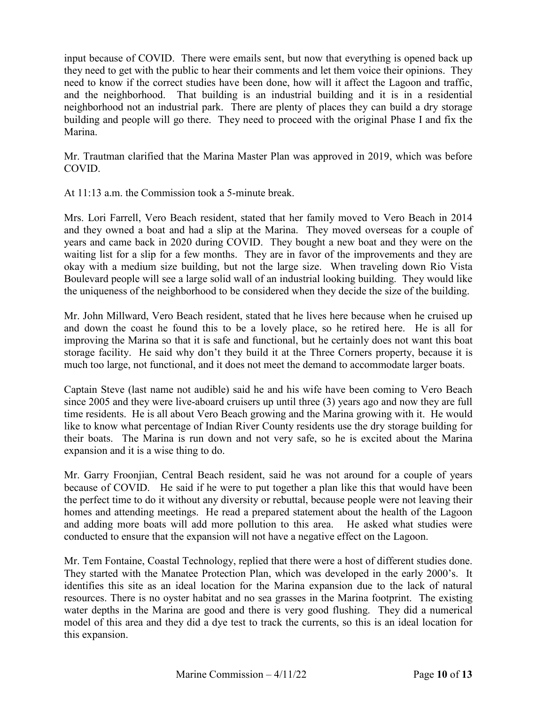they need to get with the public to hear their comments and let them voice their opinions. They neighborhood not an industrial park. There are plenty of places they can build a dry storage Marina. input because of COVID. There were emails sent, but now that everything is opened back up need to know if the correct studies have been done, how will it affect the Lagoon and traffic, and the neighborhood. That building is an industrial building and it is in a residential building and people will go there. They need to proceed with the original Phase I and fix the

Mr. Trautman clarified that the Marina Master Plan was approved in 2019, which was before COVID.

At 11:13 a.m. the Commission took a 5-minute break.

 years and came back in 2020 during COVID. They bought a new boat and they were on the waiting list for a slip for a few months. They are in favor of the improvements and they are Boulevard people will see a large solid wall of an industrial looking building. They would like Mrs. Lori Farrell, Vero Beach resident, stated that her family moved to Vero Beach in 2014 and they owned a boat and had a slip at the Marina. They moved overseas for a couple of okay with a medium size building, but not the large size. When traveling down Rio Vista the uniqueness of the neighborhood to be considered when they decide the size of the building.

 Mr. John Millward, Vero Beach resident, stated that he lives here because when he cruised up and down the coast he found this to be a lovely place, so he retired here. He is all for improving the Marina so that it is safe and functional, but he certainly does not want this boat storage facility. He said why don't they build it at the Three Corners property, because it is much too large, not functional, and it does not meet the demand to accommodate larger boats.

 Captain Steve (last name not audible) said he and his wife have been coming to Vero Beach time residents. He is all about Vero Beach growing and the Marina growing with it. He would since 2005 and they were live-aboard cruisers up until three (3) years ago and now they are full like to know what percentage of Indian River County residents use the dry storage building for their boats. The Marina is run down and not very safe, so he is excited about the Marina expansion and it is a wise thing to do.

 and adding more boats will add more pollution to this area. He asked what studies were conducted to ensure that the expansion will not have a negative effect on the Lagoon. Mr. Garry Froonjian, Central Beach resident, said he was not around for a couple of years because of COVID. He said if he were to put together a plan like this that would have been the perfect time to do it without any diversity or rebuttal, because people were not leaving their homes and attending meetings. He read a prepared statement about the health of the Lagoon

 They started with the Manatee Protection Plan, which was developed in the early 2000's. It resources. There is no oyster habitat and no sea grasses in the Marina footprint. The existing water depths in the Marina are good and there is very good flushing. They did a numerical model of this area and they did a dye test to track the currents, so this is an ideal location for Mr. Tem Fontaine, Coastal Technology, replied that there were a host of different studies done. identifies this site as an ideal location for the Marina expansion due to the lack of natural this expansion.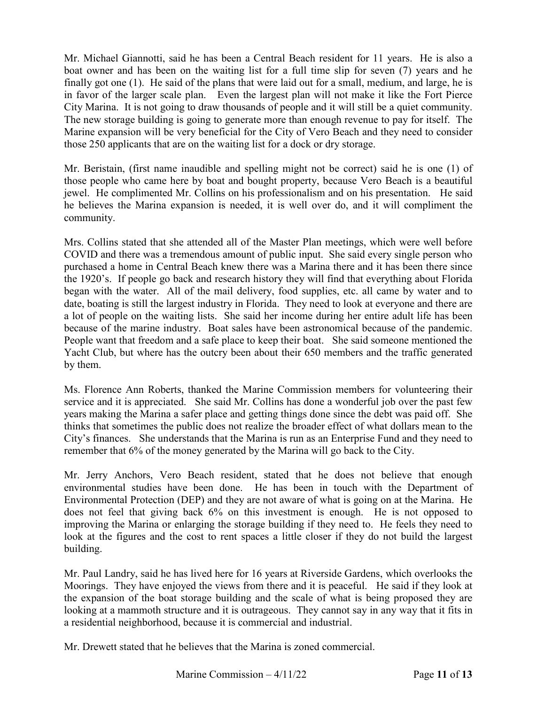boat owner and has been on the waiting list for a full time slip for seven (7) years and he finally got one (1). He said of the plans that were laid out for a small, medium, and large, he is in favor of the larger scale plan. Even the largest plan will not make it like the Fort Pierce City Marina. It is not going to draw thousands of people and it will still be a quiet community. The new storage building is going to generate more than enough revenue to pay for itself. The those 250 applicants that are on the waiting list for a dock or dry storage. Mr. Michael Giannotti, said he has been a Central Beach resident for 11 years. He is also a Marine expansion will be very beneficial for the City of Vero Beach and they need to consider

 Mr. Beristain, (first name inaudible and spelling might not be correct) said he is one (1) of those people who came here by boat and bought property, because Vero Beach is a beautiful jewel. He complimented Mr. Collins on his professionalism and on his presentation. He said he believes the Marina expansion is needed, it is well over do, and it will compliment the community.

 Mrs. Collins stated that she attended all of the Master Plan meetings, which were well before COVID and there was a tremendous amount of public input. She said every single person who purchased a home in Central Beach knew there was a Marina there and it has been there since the 1920's. If people go back and research history they will find that everything about Florida because of the marine industry. Boat sales have been astronomical because of the pandemic. began with the water. All of the mail delivery, food supplies, etc. all came by water and to date, boating is still the largest industry in Florida. They need to look at everyone and there are a lot of people on the waiting lists. She said her income during her entire adult life has been People want that freedom and a safe place to keep their boat. She said someone mentioned the Yacht Club, but where has the outcry been about their 650 members and the traffic generated by them.

 thinks that sometimes the public does not realize the broader effect of what dollars mean to the City's finances. She understands that the Marina is run as an Enterprise Fund and they need to remember that 6% of the money generated by the Marina will go back to the City. Ms. Florence Ann Roberts, thanked the Marine Commission members for volunteering their service and it is appreciated. She said Mr. Collins has done a wonderful job over the past few years making the Marina a safer place and getting things done since the debt was paid off. She

 environmental studies have been done. He has been in touch with the Department of improving the Marina or enlarging the storage building if they need to. He feels they need to Mr. Jerry Anchors, Vero Beach resident, stated that he does not believe that enough Environmental Protection (DEP) and they are not aware of what is going on at the Marina. He does not feel that giving back 6% on this investment is enough. He is not opposed to look at the figures and the cost to rent spaces a little closer if they do not build the largest building.

 Mr. Paul Landry, said he has lived here for 16 years at Riverside Gardens, which overlooks the the expansion of the boat storage building and the scale of what is being proposed they are looking at a mammoth structure and it is outrageous. They cannot say in any way that it fits in a residential neighborhood, because it is commercial and industrial. Moorings. They have enjoyed the views from there and it is peaceful. He said if they look at

Mr. Drewett stated that he believes that the Marina is zoned commercial.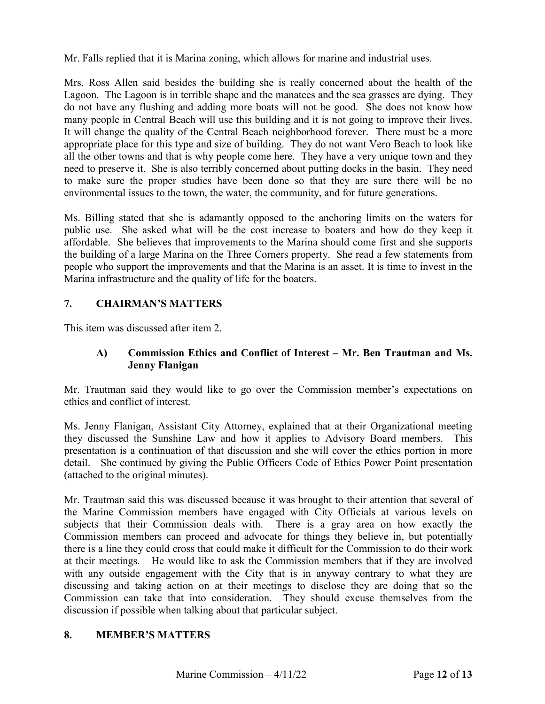Mr. Falls replied that it is Marina zoning, which allows for marine and industrial uses.

 Mrs. Ross Allen said besides the building she is really concerned about the health of the Lagoon. The Lagoon is in terrible shape and the manatees and the sea grasses are dying. They many people in Central Beach will use this building and it is not going to improve their lives. It will change the quality of the Central Beach neighborhood forever. There must be a more all the other towns and that is why people come here. They have a very unique town and they need to preserve it. She is also terribly concerned about putting docks in the basin. They need do not have any flushing and adding more boats will not be good. She does not know how appropriate place for this type and size of building. They do not want Vero Beach to look like to make sure the proper studies have been done so that they are sure there will be no environmental issues to the town, the water, the community, and for future generations.

 affordable. She believes that improvements to the Marina should come first and she supports Ms. Billing stated that she is adamantly opposed to the anchoring limits on the waters for public use. She asked what will be the cost increase to boaters and how do they keep it the building of a large Marina on the Three Corners property. She read a few statements from people who support the improvements and that the Marina is an asset. It is time to invest in the Marina infrastructure and the quality of life for the boaters.

# **7. CHAIRMAN'S MATTERS**

This item was discussed after item 2.

# **A) Commission Ethics and Conflict of Interest – Mr. Ben Trautman and Ms. Jenny Flanigan**

Mr. Trautman said they would like to go over the Commission member's expectations on ethics and conflict of interest.

 detail. She continued by giving the Public Officers Code of Ethics Power Point presentation (attached to the original minutes). Ms. Jenny Flanigan, Assistant City Attorney, explained that at their Organizational meeting they discussed the Sunshine Law and how it applies to Advisory Board members. This presentation is a continuation of that discussion and she will cover the ethics portion in more

 at their meetings. He would like to ask the Commission members that if they are involved with any outside engagement with the City that is in anyway contrary to what they are Mr. Trautman said this was discussed because it was brought to their attention that several of the Marine Commission members have engaged with City Officials at various levels on subjects that their Commission deals with. There is a gray area on how exactly the Commission members can proceed and advocate for things they believe in, but potentially there is a line they could cross that could make it difficult for the Commission to do their work discussing and taking action on at their meetings to disclose they are doing that so the Commission can take that into consideration. They should excuse themselves from the discussion if possible when talking about that particular subject.

### **8. MEMBER'S MATTERS**